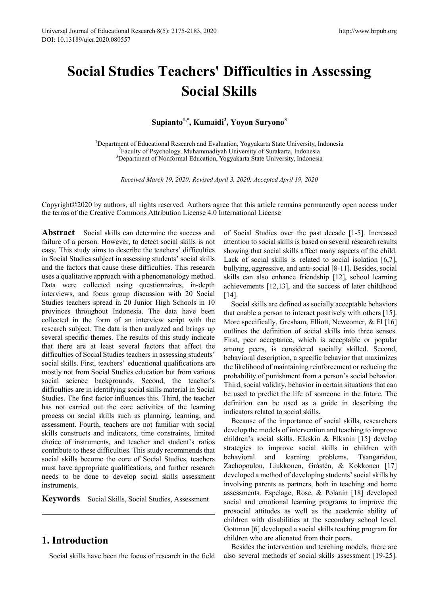# **Social Studies Teachers' Difficulties in Assessing Social Skills**

**Supianto1,\* , Kumaidi<sup>2</sup> , Yoyon Suryono<sup>3</sup>**

<sup>1</sup>Department of Educational Research and Evaluation, Yogyakarta State University, Indonesia <sup>2</sup>Eaculty of Psychology, Muhammadiyah University of Surakarta, Indonesia <sup>2</sup>Faculty of Psychology, Muhammadiyah University of Surakarta, Indonesia <sup>3</sup>Department of Nonformal Education, Yogyakarta State University, Indonesia

*Received March 19, 2020; Revised April 3, 2020; Accepted April 19, 2020*

Copyright©2020 by authors, all rights reserved. Authors agree that this article remains permanently open access under the terms of the Creative Commons Attribution License 4.0 International License

**Abstract** Social skills can determine the success and failure of a person. However, to detect social skills is not easy. This study aims to describe the teachers' difficulties in Social Studies subject in assessing students' social skills and the factors that cause these difficulties. This research uses a qualitative approach with a phenomenology method. Data were collected using questionnaires, in-depth interviews, and focus group discussion with 20 Social Studies teachers spread in 20 Junior High Schools in 10 provinces throughout Indonesia. The data have been collected in the form of an interview script with the research subject. The data is then analyzed and brings up several specific themes. The results of this study indicate that there are at least several factors that affect the difficulties of Social Studies teachers in assessing students' social skills. First, teachers' educational qualifications are mostly not from Social Studies education but from various social science backgrounds. Second, the teacher's difficulties are in identifying social skills material in Social Studies. The first factor influences this. Third, the teacher has not carried out the core activities of the learning process on social skills such as planning, learning, and assessment. Fourth, teachers are not familiar with social skills constructs and indicators, time constraints, limited choice of instruments, and teacher and student's ratios contribute to these difficulties. This study recommends that social skills become the core of Social Studies, teachers must have appropriate qualifications, and further research needs to be done to develop social skills assessment instruments.

**Keywords** Social Skills, Social Studies, Assessment

# **1. Introduction**

Social skills have been the focus of research in the field

of Social Studies over the past decade [1-5]. Increased attention to social skills is based on several research results showing that social skills affect many aspects of the child. Lack of social skills is related to social isolation [6,7], bullying, aggressive, and anti-social [8-11]. Besides, social skills can also enhance friendship [12], school learning achievements [12,13], and the success of later childhood [14].

Social skills are defined as socially acceptable behaviors that enable a person to interact positively with others [15]. More specifically, Gresham, Elliott, Newcomer, & El [16] outlines the definition of social skills into three senses. First, peer acceptance, which is acceptable or popular among peers, is considered socially skilled. Second, behavioral description, a specific behavior that maximizes the likelihood of maintaining reinforcement or reducing the probability of punishment from a person's social behavior. Third, social validity, behavior in certain situations that can be used to predict the life of someone in the future. The definition can be used as a guide in describing the indicators related to social skills.

Because of the importance of social skills, researchers develop the models of intervention and teaching to improve children's social skills. Elkskin & Elksnin [15] develop strategies to improve social skills in children with behavioral and learning problems. Tsangaridou, Zachopoulou, Liukkonen, Gråstén, & Kokkonen [17] developed a method of developing students' social skills by involving parents as partners, both in teaching and home assessments. Espelage, Rose, & Polanin [18] developed social and emotional learning programs to improve the prosocial attitudes as well as the academic ability of children with disabilities at the secondary school level. Gottman [6] developed a social skills teaching program for children who are alienated from their peers.

Besides the intervention and teaching models, there are also several methods of social skills assessment [19-25].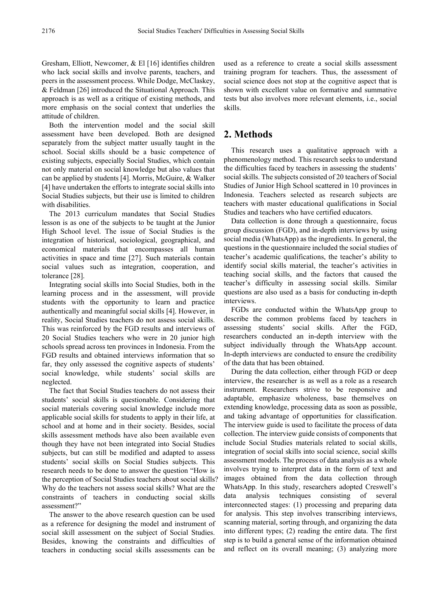Gresham, Elliott, Newcomer, & El [16] identifies children who lack social skills and involve parents, teachers, and peers in the assessment process. While Dodge, McClaskey, & Feldman [26] introduced the Situational Approach. This approach is as well as a critique of existing methods, and more emphasis on the social context that underlies the attitude of children.

Both the intervention model and the social skill assessment have been developed. Both are designed separately from the subject matter usually taught in the school. Social skills should be a basic competence of existing subjects, especially Social Studies, which contain not only material on social knowledge but also values that can be applied by students [4]. Morris, McGuire, & Walker [4] have undertaken the efforts to integrate social skills into Social Studies subjects, but their use is limited to children with disabilities.

The 2013 curriculum mandates that Social Studies lesson is as one of the subjects to be taught at the Junior High School level. The issue of Social Studies is the integration of historical, sociological, geographical, and economical materials that encompasses all human activities in space and time [27]. Such materials contain social values such as integration, cooperation, and tolerance [28].

Integrating social skills into Social Studies, both in the learning process and in the assessment, will provide students with the opportunity to learn and practice authentically and meaningful social skills [4]. However, in reality, Social Studies teachers do not assess social skills. This was reinforced by the FGD results and interviews of 20 Social Studies teachers who were in 20 junior high schools spread across ten provinces in Indonesia. From the FGD results and obtained interviews information that so far, they only assessed the cognitive aspects of students' social knowledge, while students' social skills are neglected.

The fact that Social Studies teachers do not assess their students' social skills is questionable. Considering that social materials covering social knowledge include more applicable social skills for students to apply in their life, at school and at home and in their society. Besides, social skills assessment methods have also been available even though they have not been integrated into Social Studies subjects, but can still be modified and adapted to assess students' social skills on Social Studies subjects. This research needs to be done to answer the question "How is the perception of Social Studies teachers about social skills? Why do the teachers not assess social skills? What are the constraints of teachers in conducting social skills assessment?"

The answer to the above research question can be used as a reference for designing the model and instrument of social skill assessment on the subject of Social Studies. Besides, knowing the constraints and difficulties of teachers in conducting social skills assessments can be

used as a reference to create a social skills assessment training program for teachers. Thus, the assessment of social science does not stop at the cognitive aspect that is shown with excellent value on formative and summative tests but also involves more relevant elements, i.e., social skills.

# **2. Methods**

This research uses a qualitative approach with a phenomenology method. This research seeks to understand the difficulties faced by teachers in assessing the students' social skills. The subjects consisted of 20 teachers of Social Studies of Junior High School scattered in 10 provinces in Indonesia. Teachers selected as research subjects are teachers with master educational qualifications in Social Studies and teachers who have certified educators.

Data collection is done through a questionnaire, focus group discussion (FGD), and in-depth interviews by using social media (WhatsApp) as the ingredients. In general, the questions in the questionnaire included the social studies of teacher's academic qualifications, the teacher's ability to identify social skills material, the teacher's activities in teaching social skills, and the factors that caused the teacher's difficulty in assessing social skills. Similar questions are also used as a basis for conducting in-depth interviews.

FGDs are conducted within the WhatsApp group to describe the common problems faced by teachers in assessing students' social skills. After the FGD, researchers conducted an in-depth interview with the subject individually through the WhatsApp account. In-depth interviews are conducted to ensure the credibility of the data that has been obtained.

During the data collection, either through FGD or deep interview, the researcher is as well as a role as a research instrument. Researchers strive to be responsive and adaptable, emphasize wholeness, base themselves on extending knowledge, processing data as soon as possible, and taking advantage of opportunities for classification. The interview guide is used to facilitate the process of data collection. The interview guide consists of components that include Social Studies materials related to social skills, integration of social skills into social science, social skills assessment models. The process of data analysis as a whole involves trying to interpret data in the form of text and images obtained from the data collection through WhatsApp. In this study, researchers adopted Creswell's data analysis techniques consisting of several interconnected stages: (1) processing and preparing data for analysis. This step involves transcribing interviews, scanning material, sorting through, and organizing the data into different types; (2) reading the entire data. The first step is to build a general sense of the information obtained and reflect on its overall meaning; (3) analyzing more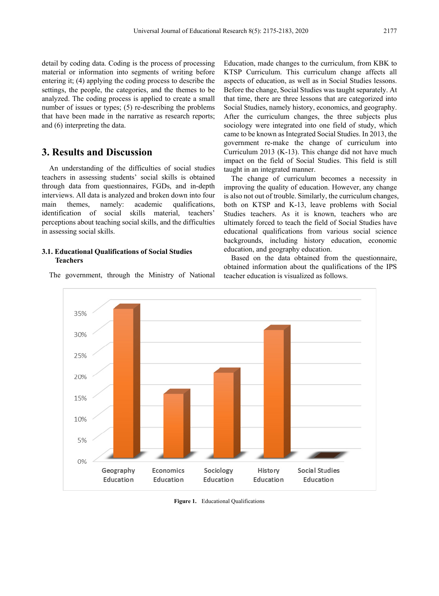detail by coding data. Coding is the process of processing material or information into segments of writing before entering it; (4) applying the coding process to describe the settings, the people, the categories, and the themes to be analyzed. The coding process is applied to create a small number of issues or types; (5) re-describing the problems that have been made in the narrative as research reports; and (6) interpreting the data.

# **3. Results and Discussion**

An understanding of the difficulties of social studies teachers in assessing students' social skills is obtained through data from questionnaires, FGDs, and in-depth interviews. All data is analyzed and broken down into four main themes, namely: academic qualifications, identification of social skills material, teachers' perceptions about teaching social skills, and the difficulties in assessing social skills.

#### **3.1. Educational Qualifications of Social Studies Teachers**

The government, through the Ministry of National

Education, made changes to the curriculum, from KBK to KTSP Curriculum. This curriculum change affects all aspects of education, as well as in Social Studies lessons. Before the change, Social Studies was taught separately. At that time, there are three lessons that are categorized into Social Studies, namely history, economics, and geography. After the curriculum changes, the three subjects plus sociology were integrated into one field of study, which came to be known as Integrated Social Studies. In 2013, the government re-make the change of curriculum into Curriculum 2013 (K-13). This change did not have much impact on the field of Social Studies. This field is still taught in an integrated manner.

The change of curriculum becomes a necessity in improving the quality of education. However, any change is also not out of trouble. Similarly, the curriculum changes, both on KTSP and K-13, leave problems with Social Studies teachers. As it is known, teachers who are ultimately forced to teach the field of Social Studies have educational qualifications from various social science backgrounds, including history education, economic education, and geography education.

Based on the data obtained from the questionnaire, obtained information about the qualifications of the IPS teacher education is visualized as follows.



**Figure 1.** Educational Qualifications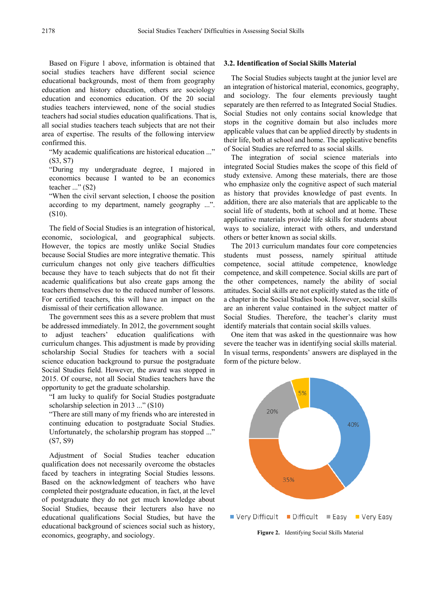Based on Figure 1 above, information is obtained that social studies teachers have different social science educational backgrounds, most of them from geography education and history education, others are sociology education and economics education. Of the 20 social studies teachers interviewed, none of the social studies teachers had social studies education qualifications. That is, all social studies teachers teach subjects that are not their area of expertise. The results of the following interview confirmed this.

"My academic qualifications are historical education ..." (S3, S7)

"During my undergraduate degree, I majored in economics because I wanted to be an economics teacher ..." (S2)

"When the civil servant selection, I choose the position according to my department, namely geography ...". (S10).

The field of Social Studies is an integration of historical, economic, sociological, and geographical subjects. However, the topics are mostly unlike Social Studies because Social Studies are more integrative thematic. This curriculum changes not only give teachers difficulties because they have to teach subjects that do not fit their academic qualifications but also create gaps among the teachers themselves due to the reduced number of lessons. For certified teachers, this will have an impact on the dismissal of their certification allowance.

The government sees this as a severe problem that must be addressed immediately. In 2012, the government sought to adjust teachers' education qualifications with curriculum changes. This adjustment is made by providing scholarship Social Studies for teachers with a social science education background to pursue the postgraduate Social Studies field. However, the award was stopped in 2015. Of course, not all Social Studies teachers have the opportunity to get the graduate scholarship.

"I am lucky to qualify for Social Studies postgraduate scholarship selection in 2013 ..." (S10)

"There are still many of my friends who are interested in continuing education to postgraduate Social Studies. Unfortunately, the scholarship program has stopped ..." (S7, S9)

Adjustment of Social Studies teacher education qualification does not necessarily overcome the obstacles faced by teachers in integrating Social Studies lessons. Based on the acknowledgment of teachers who have completed their postgraduate education, in fact, at the level of postgraduate they do not get much knowledge about Social Studies, because their lecturers also have no educational qualifications Social Studies, but have the educational background of sciences social such as history, economics, geography, and sociology.

#### **3.2. Identification of Social Skills Material**

The Social Studies subjects taught at the junior level are an integration of historical material, economics, geography, and sociology. The four elements previously taught separately are then referred to as Integrated Social Studies. Social Studies not only contains social knowledge that stops in the cognitive domain but also includes more applicable values that can be applied directly by students in their life, both at school and home. The applicative benefits of Social Studies are referred to as social skills.

The integration of social science materials into integrated Social Studies makes the scope of this field of study extensive. Among these materials, there are those who emphasize only the cognitive aspect of such material as history that provides knowledge of past events. In addition, there are also materials that are applicable to the social life of students, both at school and at home. These applicative materials provide life skills for students about ways to socialize, interact with others, and understand others or better known as social skills.

The 2013 curriculum mandates four core competencies students must possess, namely spiritual attitude competence, social attitude competence, knowledge competence, and skill competence. Social skills are part of the other competences, namely the ability of social attitudes. Social skills are not explicitly stated as the title of a chapter in the Social Studies book. However, social skills are an inherent value contained in the subject matter of Social Studies. Therefore, the teacher's clarity must identify materials that contain social skills values.

One item that was asked in the questionnaire was how severe the teacher was in identifying social skills material. In visual terms, respondents' answers are displayed in the form of the picture below.

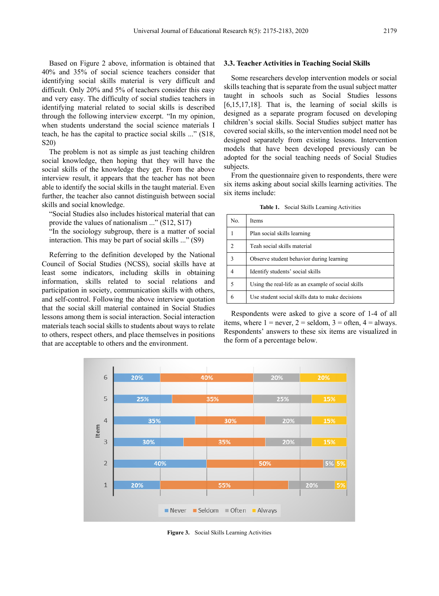Based on Figure 2 above, information is obtained that 40% and 35% of social science teachers consider that identifying social skills material is very difficult and difficult. Only 20% and 5% of teachers consider this easy and very easy. The difficulty of social studies teachers in identifying material related to social skills is described through the following interview excerpt. "In my opinion, when students understand the social science materials I teach, he has the capital to practice social skills ..." (S18, S20)

The problem is not as simple as just teaching children social knowledge, then hoping that they will have the social skills of the knowledge they get. From the above interview result, it appears that the teacher has not been able to identify the social skills in the taught material. Even further, the teacher also cannot distinguish between social skills and social knowledge.

"Social Studies also includes historical material that can provide the values of nationalism ..." (S12, S17)

"In the sociology subgroup, there is a matter of social interaction. This may be part of social skills ..." (S9)

Referring to the definition developed by the National Council of Social Studies (NCSS), social skills have at least some indicators, including skills in obtaining information, skills related to social relations and participation in society, communication skills with others, and self-control. Following the above interview quotation that the social skill material contained in Social Studies lessons among them is social interaction. Social interaction materials teach social skills to students about ways to relate to others, respect others, and place themselves in positions that are acceptable to others and the environment.

#### **3.3. Teacher Activities in Teaching Social Skills**

Some researchers develop intervention models or social skills teaching that is separate from the usual subject matter taught in schools such as Social Studies lessons [6,15,17,18]. That is, the learning of social skills is designed as a separate program focused on developing children's social skills. Social Studies subject matter has covered social skills, so the intervention model need not be designed separately from existing lessons. Intervention models that have been developed previously can be adopted for the social teaching needs of Social Studies subjects.

From the questionnaire given to respondents, there were six items asking about social skills learning activities. The six items include:

**Table 1.** Social Skills Learning Activities

| No.           | <b>Items</b>                                       |
|---------------|----------------------------------------------------|
|               | Plan social skills learning                        |
| $\mathcal{D}$ | Teah social skills material                        |
| 3             | Observe student behavior during learning           |
| 4             | Identify students' social skills                   |
| 5             | Using the real-life as an example of social skills |
| 6             | Use student social skills data to make decisions   |

Respondents were asked to give a score of 1-4 of all items, where  $1 =$  never,  $2 =$  seldom,  $3 =$  often,  $4 =$  always. Respondents' answers to these six items are visualized in the form of a percentage below.



**Figure 3.** Social Skills Learning Activities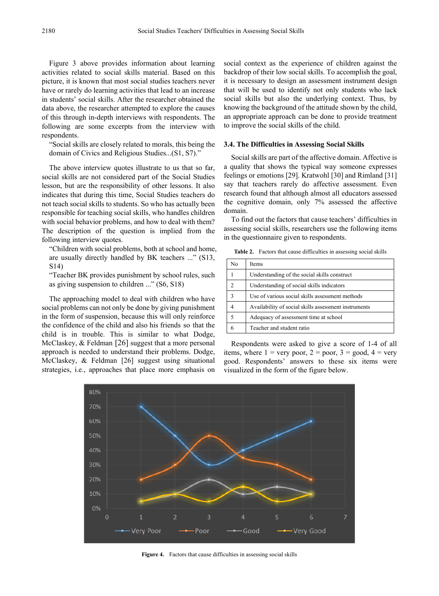Figure 3 above provides information about learning activities related to social skills material. Based on this picture, it is known that most social studies teachers never have or rarely do learning activities that lead to an increase in students' social skills. After the researcher obtained the data above, the researcher attempted to explore the causes of this through in-depth interviews with respondents. The following are some excerpts from the interview with respondents.

"Social skills are closely related to morals, this being the domain of Civics and Religious Studies...(S1, S7)."

The above interview quotes illustrate to us that so far, social skills are not considered part of the Social Studies lesson, but are the responsibility of other lessons. It also indicates that during this time, Social Studies teachers do not teach social skills to students. So who has actually been responsible for teaching social skills, who handles children with social behavior problems, and how to deal with them? The description of the question is implied from the following interview quotes.

"Children with social problems, both at school and home, are usually directly handled by BK teachers ..." (S13, S14)

"Teacher BK provides punishment by school rules, such as giving suspension to children ..." (S6, S18)

The approaching model to deal with children who have social problems can not only be done by giving punishment in the form of suspension, because this will only reinforce the confidence of the child and also his friends so that the child is in trouble. This is similar to what Dodge, McClaskey, & Feldman [26] suggest that a more personal approach is needed to understand their problems. Dodge, McClaskey, & Feldman [26] suggest using situational strategies, i.e., approaches that place more emphasis on

social context as the experience of children against the backdrop of their low social skills. To accomplish the goal, it is necessary to design an assessment instrument design that will be used to identify not only students who lack social skills but also the underlying context. Thus, by knowing the background of the attitude shown by the child, an appropriate approach can be done to provide treatment to improve the social skills of the child.

#### **3.4. The Difficulties in Assessing Social Skills**

Social skills are part of the affective domain. Affective is a quality that shows the typical way someone expresses feelings or emotions [29]. Kratwohl [30] and Rimland [31] say that teachers rarely do affective assessment. Even research found that although almost all educators assessed the cognitive domain, only 7% assessed the affective domain.

To find out the factors that cause teachers' difficulties in assessing social skills, researchers use the following items in the questionnaire given to respondents.

**Table 2.** Factors that cause difficulties in assessing social skills

| No. | Items                                                |
|-----|------------------------------------------------------|
|     | Understanding of the social skills construct         |
| 2   | Understanding of social skills indicators            |
|     | Use of various social skills assessment methods      |
|     | Availability of social skills assessment instruments |
| 5   | Adequacy of assessment time at school                |
| 6   | Teacher and student ratio                            |

Respondents were asked to give a score of 1-4 of all items, where  $1 = \text{very poor}, 2 = \text{poor}, 3 = \text{good}, 4 = \text{very}$ good. Respondents' answers to these six items were visualized in the form of the figure below.



**Figure 4.** Factors that cause difficulties in assessing social skills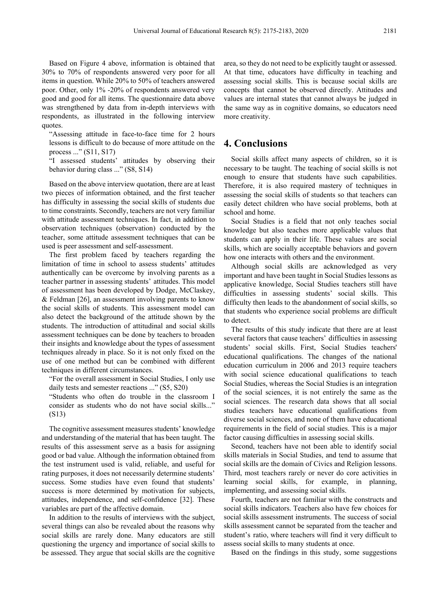Based on Figure 4 above, information is obtained that 30% to 70% of respondents answered very poor for all items in question. While 20% to 50% of teachers answered poor. Other, only 1% -20% of respondents answered very good and good for all items. The questionnaire data above was strengthened by data from in-depth interviews with respondents, as illustrated in the following interview quotes.

"Assessing attitude in face-to-face time for 2 hours lessons is difficult to do because of more attitude on the process ..." (S11, S17)

"I assessed students' attitudes by observing their behavior during class ..." (S8, S14)

Based on the above interview quotation, there are at least two pieces of information obtained, and the first teacher has difficulty in assessing the social skills of students due to time constraints. Secondly, teachers are not very familiar with attitude assessment techniques. In fact, in addition to observation techniques (observation) conducted by the teacher, some attitude assessment techniques that can be used is peer assessment and self-assessment.

The first problem faced by teachers regarding the limitation of time in school to assess students' attitudes authentically can be overcome by involving parents as a teacher partner in assessing students' attitudes. This model of assessment has been developed by Dodge, McClaskey, & Feldman [26], an assessment involving parents to know the social skills of students. This assessment model can also detect the background of the attitude shown by the students. The introduction of attitudinal and social skills assessment techniques can be done by teachers to broaden their insights and knowledge about the types of assessment techniques already in place. So it is not only fixed on the use of one method but can be combined with different techniques in different circumstances.

"For the overall assessment in Social Studies, I only use daily tests and semester reactions ..." (S5, S20)

"Students who often do trouble in the classroom I consider as students who do not have social skills..." (S13)

The cognitive assessment measures students' knowledge and understanding of the material that has been taught. The results of this assessment serve as a basis for assigning good or bad value. Although the information obtained from the test instrument used is valid, reliable, and useful for rating purposes, it does not necessarily determine students' success. Some studies have even found that students' success is more determined by motivation for subjects, attitudes, independence, and self-confidence [32]. These variables are part of the affective domain.

In addition to the results of interviews with the subject, several things can also be revealed about the reasons why social skills are rarely done. Many educators are still questioning the urgency and importance of social skills to be assessed. They argue that social skills are the cognitive

area, so they do not need to be explicitly taught or assessed. At that time, educators have difficulty in teaching and assessing social skills. This is because social skills are concepts that cannot be observed directly. Attitudes and values are internal states that cannot always be judged in the same way as in cognitive domains, so educators need more creativity.

### **4. Conclusions**

Social skills affect many aspects of children, so it is necessary to be taught. The teaching of social skills is not enough to ensure that students have such capabilities. Therefore, it is also required mastery of techniques in assessing the social skills of students so that teachers can easily detect children who have social problems, both at school and home.

Social Studies is a field that not only teaches social knowledge but also teaches more applicable values that students can apply in their life. These values are social skills, which are socially acceptable behaviors and govern how one interacts with others and the environment.

Although social skills are acknowledged as very important and have been taught in Social Studies lessons as applicative knowledge, Social Studies teachers still have difficulties in assessing students' social skills. This difficulty then leads to the abandonment of social skills, so that students who experience social problems are difficult to detect.

The results of this study indicate that there are at least several factors that cause teachers' difficulties in assessing students' social skills. First, Social Studies teachers' educational qualifications. The changes of the national education curriculum in 2006 and 2013 require teachers with social science educational qualifications to teach Social Studies, whereas the Social Studies is an integration of the social sciences, it is not entirely the same as the social sciences. The research data shows that all social studies teachers have educational qualifications from diverse social sciences, and none of them have educational requirements in the field of social studies. This is a major factor causing difficulties in assessing social skills.

Second, teachers have not been able to identify social skills materials in Social Studies, and tend to assume that social skills are the domain of Civics and Religion lessons. Third, most teachers rarely or never do core activities in learning social skills, for example, in planning, implementing, and assessing social skills.

Fourth, teachers are not familiar with the constructs and social skills indicators. Teachers also have few choices for social skills assessment instruments. The success of social skills assessment cannot be separated from the teacher and student's ratio, where teachers will find it very difficult to assess social skills to many students at once.

Based on the findings in this study, some suggestions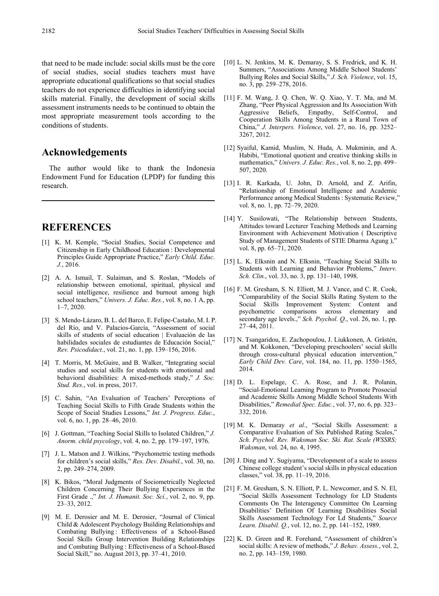that need to be made include: social skills must be the core of social studies, social studies teachers must have appropriate educational qualifications so that social studies teachers do not experience difficulties in identifying social skills material. Finally, the development of social skills assessment instruments needs to be continued to obtain the most appropriate measurement tools according to the conditions of students.

# **Acknowledgements**

The author would like to thank the Indonesia Endowment Fund for Education (LPDP) for funding this research.

## **REFERENCES**

- [1] K. M. Kemple, "Social Studies, Social Competence and Citizenship in Early Childhood Education : Developmental Principles Guide Appropriate Practice," *Early Child. Educ. J.*, 2016.
- [2] A. A. Ismail, T. Sulaiman, and S. Roslan, "Models of relationship between emotional, spiritual, physical and social intelligence, resilience and burnout among high school teachers," *Univers. J. Educ. Res.*, vol. 8, no. 1 A, pp. 1–7, 2020.
- [3] S. Mendo-Lázaro, B. L. del Barco, E. Felipe-Castaño, M. I. P. del Río, and V. Palacios-García, "Assessment of social skills of students of social education | Evaluación de las habilidades sociales de estudiantes de Educación Social," *Rev. Psicodidact.*, vol. 21, no. 1, pp. 139–156, 2016.
- [4] T. Morris, M. McGuire, and B. Walker, "Integrating social studies and social skills for students with emotional and behavioral disabilities: A mixed-methods study," *J. Soc. Stud. Res.*, vol. in press, 2017.
- [5] C. Sahin, "An Evaluation of Teachers' Perceptions of Teaching Social Skills to Fifth Grade Students within the Scope of Social Studies Lessons," *Int. J. Progress. Educ.*, vol. 6, no. 1, pp. 28–46, 2010.
- [6] J. Gottman, "Teaching Social Skills to Isolated Children," *J. Anorm. child psycology*, vol. 4, no. 2, pp. 179–197, 1976.
- [7] J. L. Matson and J. Wilkins, "Psychometric testing methods for children's social skills," *Res. Dev. Disabil.*, vol. 30, no. 2, pp. 249–274, 2009.
- [8] K. Bikos, "Moral Judgments of Sociometrically Neglected Children Concerning Their Bullying Experiences in the First Grade .," *Int. J. Humanit. Soc. Sci.*, vol. 2, no. 9, pp. 23–33, 2012.
- [9] M. E. Derosier and M. E. Derosier, "Journal of Clinical Child & Adolescent Psychology Building Relationships and Combating Bullying : Effectiveness of a School-Based Social Skills Group Intervention Building Relationships and Combating Bullying : Effectiveness of a School-Based Social Skill," no. August 2013, pp. 37–41, 2010.
- [10] L. N. Jenkins, M. K. Demaray, S. S. Fredrick, and K. H. Summers, "Associations Among Middle School Students' Bullying Roles and Social Skills," *J. Sch. Violence*, vol. 15, no. 3, pp. 259–278, 2016.
- [11] F. M. Wang, J. Q. Chen, W. Q. Xiao, Y. T. Ma, and M. Zhang, "Peer Physical Aggression and Its Association With Aggressive Beliefs, Empathy, Self-Control, and Cooperation Skills Among Students in a Rural Town of China," *J. Interpers. Violence*, vol. 27, no. 16, pp. 3252– 3267, 2012.
- [12] Syaiful, Kamid, Muslim, N. Huda, A. Mukminin, and A. Habibi, "Emotional quotient and creative thinking skills in mathematics," *Univers. J. Educ. Res.*, vol. 8, no. 2, pp. 499– 507, 2020.
- [13] I. R. Karkada, U. John, D. Arnold, and Z. Arifin, "Relationship of Emotional Intelligence and Academic Performance among Medical Students : Systematic Review," vol. 8, no. 1, pp. 72–79, 2020.
- [14] Y. Susilowati, "The Relationship between Students, Attitudes toward Lecturer Teaching Methods and Learning Environment with Achievement Motivation ( Descriptive Study of Management Students of STIE Dharma Agung )," vol. 8, pp. 65–71, 2020.
- [15] L. K. Elksnin and N. Elksnin, "Teaching Social Skills to Students with Learning and Behavior Problems," *Interv. Sch. Clin.*, vol. 33, no. 3, pp. 131–140, 1998.
- [16] F. M. Gresham, S. N. Elliott, M. J. Vance, and C. R. Cook, "Comparability of the Social Skills Rating System to the Social Skills Improvement System: Content and psychometric comparisons across elementary and secondary age levels.," *Sch. Psychol. Q.*, vol. 26, no. 1, pp. 27–44, 2011.
- [17] N. Tsangaridou, E. Zachopoulou, J. Liukkonen, A. Gråstén, and M. Kokkonen, "Developing preschoolers' social skills through cross-cultural physical education intervention," *Early Child Dev. Care*, vol. 184, no. 11, pp. 1550–1565, 2014.
- [18] D. L. Espelage, C. A. Rose, and J. R. Polanin, "Social-Emotional Learning Program to Promote Prosocial and Academic Skills Among Middle School Students With Disabilities," *Remedial Spec. Educ.*, vol. 37, no. 6, pp. 323– 332, 2016.
- [19] M. K. Demaray *et al.*, "Social Skills Assessment: a Comparative Evaluation of Six Published Rating Scales," *Sch. Psychol. Rev. Waksman Soc. Ski. Rat. Scale (WSSRS; Waksman*, vol. 24, no. 4, 1995.
- [20] J. Ding and Y. Sugiyama, "Development of a scale to assess Chinese college student's social skills in physical education classes," vol. 38, pp. 11–19, 2016.
- [21] F. M. Gresham, S. N. Elliott, P. L. Newcomer, and S. N. El, "Social Skills Assessment Technology for LD Students Comments On The Interagency Committee On Learning Disabilities' Definition Of Learning Disabilities Social Skills Assessment Technology For Ld Students," *Source Learn. Disabil. Q.*, vol. 12, no. 2, pp. 141–152, 1989.
- [22] K. D. Green and R. Forehand, "Assessment of children's social skills: A review of methods," *J. Behav. Assess.*, vol. 2, no. 2, pp. 143–159, 1980.